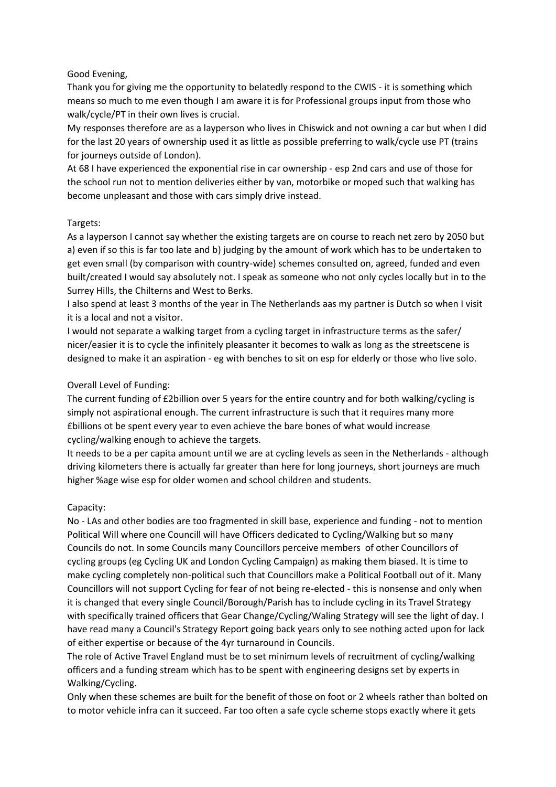## Good Evening,

Thank you for giving me the opportunity to belatedly respond to the CWIS - it is something which means so much to me even though I am aware it is for Professional groups input from those who walk/cycle/PT in their own lives is crucial.

My responses therefore are as a layperson who lives in Chiswick and not owning a car but when I did for the last 20 years of ownership used it as little as possible preferring to walk/cycle use PT (trains for journeys outside of London).

At 68 I have experienced the exponential rise in car ownership - esp 2nd cars and use of those for the school run not to mention deliveries either by van, motorbike or moped such that walking has become unpleasant and those with cars simply drive instead.

## Targets:

As a layperson I cannot say whether the existing targets are on course to reach net zero by 2050 but a) even if so this is far too late and b) judging by the amount of work which has to be undertaken to get even small (by comparison with country-wide) schemes consulted on, agreed, funded and even built/created I would say absolutely not. I speak as someone who not only cycles locally but in to the Surrey Hills, the Chilterns and West to Berks.

I also spend at least 3 months of the year in The Netherlands aas my partner is Dutch so when I visit it is a local and not a visitor.

I would not separate a walking target from a cycling target in infrastructure terms as the safer/ nicer/easier it is to cycle the infinitely pleasanter it becomes to walk as long as the streetscene is designed to make it an aspiration - eg with benches to sit on esp for elderly or those who live solo.

## Overall Level of Funding:

The current funding of £2billion over 5 years for the entire country and for both walking/cycling is simply not aspirational enough. The current infrastructure is such that it requires many more £billions ot be spent every year to even achieve the bare bones of what would increase cycling/walking enough to achieve the targets.

It needs to be a per capita amount until we are at cycling levels as seen in the Netherlands - although driving kilometers there is actually far greater than here for long journeys, short journeys are much higher %age wise esp for older women and school children and students.

# Capacity:

No - LAs and other bodies are too fragmented in skill base, experience and funding - not to mention Political Will where one Councill will have Officers dedicated to Cycling/Walking but so many Councils do not. In some Councils many Councillors perceive members of other Councillors of cycling groups (eg Cycling UK and London Cycling Campaign) as making them biased. It is time to make cycling completely non-political such that Councillors make a Political Football out of it. Many Councillors will not support Cycling for fear of not being re-elected - this is nonsense and only when it is changed that every single Council/Borough/Parish has to include cycling in its Travel Strategy with specifically trained officers that Gear Change/Cycling/Waling Strategy will see the light of day. I have read many a Council's Strategy Report going back years only to see nothing acted upon for lack of either expertise or because of the 4yr turnaround in Councils.

The role of Active Travel England must be to set minimum levels of recruitment of cycling/walking officers and a funding stream which has to be spent with engineering designs set by experts in Walking/Cycling.

Only when these schemes are built for the benefit of those on foot or 2 wheels rather than bolted on to motor vehicle infra can it succeed. Far too often a safe cycle scheme stops exactly where it gets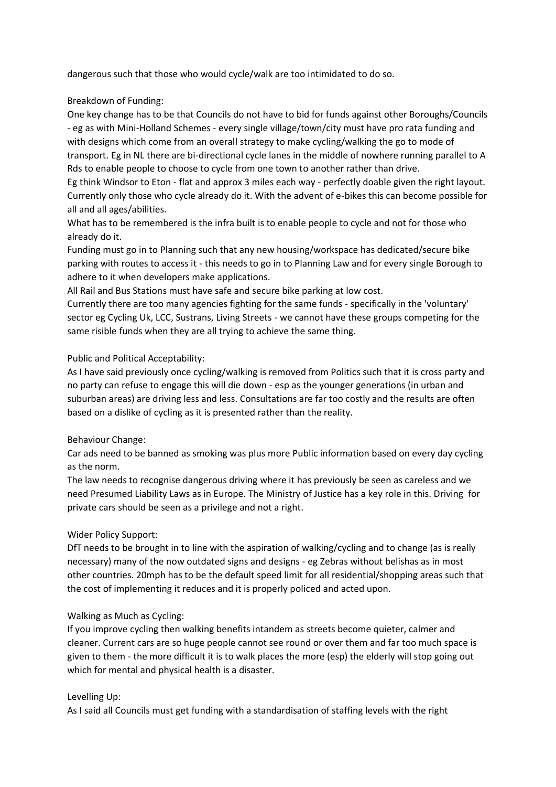dangerous such that those who would cycle/walk are too intimidated to do so.

# Breakdown of Funding:

One key change has to be that Councils do not have to bid for funds against other Boroughs/Councils - eg as with Mini-Holland Schemes - every single village/town/city must have pro rata funding and with designs which come from an overall strategy to make cycling/walking the go to mode of transport. Eg in NL there are bi-directional cycle lanes in the middle of nowhere running parallel to A Rds to enable people to choose to cycle from one town to another rather than drive.

Eg think Windsor to Eton - flat and approx 3 miles each way - perfectly doable given the right layout. Currently only those who cycle already do it. With the advent of e-bikes this can become possible for all and all ages/abilities.

What has to be remembered is the infra built is to enable people to cycle and not for those who already do it.

Funding must go in to Planning such that any new housing/workspace has dedicated/secure bike parking with routes to access it - this needs to go in to Planning Law and for every single Borough to adhere to it when developers make applications.

All Rail and Bus Stations must have safe and secure bike parking at low cost.

Currently there are too many agencies fighting for the same funds - specifically in the 'voluntary' sector eg Cycling Uk, LCC, Sustrans, Living Streets - we cannot have these groups competing for the same risible funds when they are all trying to achieve the same thing.

## Public and Political Acceptability:

As I have said previously once cycling/walking is removed from Politics such that it is cross party and no party can refuse to engage this will die down - esp as the younger generations (in urban and suburban areas) are driving less and less. Consultations are far too costly and the results are often based on a dislike of cycling as it is presented rather than the reality.

#### Behaviour Change:

Car ads need to be banned as smoking was plus more Public information based on every day cycling as the norm.

The law needs to recognise dangerous driving where it has previously be seen as careless and we need Presumed Liability Laws as in Europe. The Ministry of Justice has a key role in this. Driving for private cars should be seen as a privilege and not a right.

# Wider Policy Support:

DfT needs to be brought in to line with the aspiration of walking/cycling and to change (as is really necessary) many of the now outdated signs and designs - eg Zebras without belishas as in most other countries. 20mph has to be the default speed limit for all residential/shopping areas such that the cost of implementing it reduces and it is properly policed and acted upon.

# Walking as Much as Cycling:

If you improve cycling then walking benefits intandem as streets become quieter, calmer and cleaner. Current cars are so huge people cannot see round or over them and far too much space is given to them - the more difficult it is to walk places the more (esp) the elderly will stop going out which for mental and physical health is a disaster.

#### Levelling Up:

As I said all Councils must get funding with a standardisation of staffing levels with the right